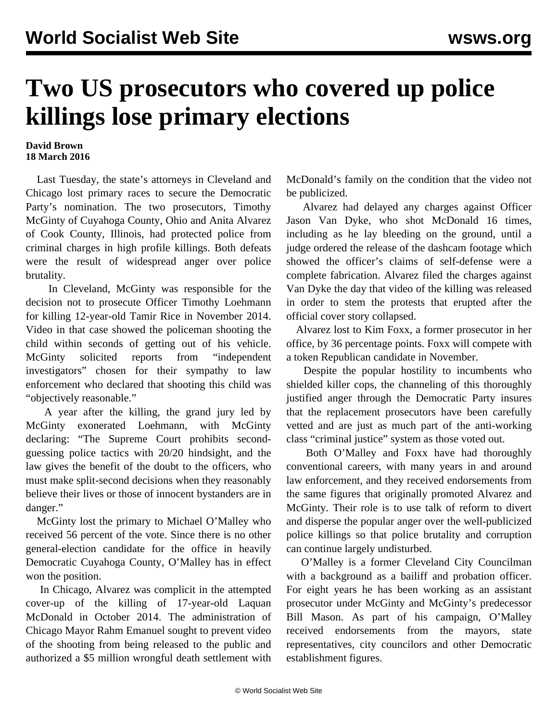## **Two US prosecutors who covered up police killings lose primary elections**

## **David Brown 18 March 2016**

 Last Tuesday, the state's attorneys in Cleveland and Chicago lost primary races to secure the Democratic Party's nomination. The two prosecutors, Timothy McGinty of Cuyahoga County, Ohio and Anita Alvarez of Cook County, Illinois, had protected police from criminal charges in high profile killings. Both defeats were the result of widespread anger over police brutality.

 In Cleveland, McGinty was responsible for the decision not to prosecute Officer Timothy Loehmann for killing 12-year-old Tamir Rice in November 2014. [Video](https://youtu.be/7Z8qNUWekWE) in that case showed the policeman shooting the child within seconds of getting out of his vehicle. McGinty solicited reports from "independent investigators" chosen for their sympathy to law enforcement who declared that shooting this child was "objectively reasonable."

 A year after the killing, the grand jury led by McGinty exonerated Loehmann, with McGinty declaring: "The Supreme Court prohibits secondguessing police tactics with 20/20 hindsight, and the law gives the benefit of the doubt to the officers, who must make split-second decisions when they reasonably believe their lives or those of innocent bystanders are in danger."

 McGinty lost the primary to Michael O'Malley who received 56 percent of the vote. Since there is no other general-election candidate for the office in heavily Democratic Cuyahoga County, O'Malley has in effect won the position.

 In Chicago, Alvarez was complicit in the attempted cover-up of the killing of 17-year-old Laquan McDonald in October 2014. The administration of Chicago Mayor Rahm Emanuel sought to prevent [video](https://www.youtube.com/watch?v=Ix2N6_jLAgA) of the shooting from being released to the public and authorized a \$5 million wrongful death settlement with McDonald's family on the condition that the video not be publicized.

 Alvarez had delayed any charges against Officer Jason Van Dyke, who shot McDonald 16 times, including as he lay bleeding on the ground, until a judge ordered the release of the dashcam footage which showed the officer's claims of self-defense were a complete fabrication. Alvarez filed the charges against Van Dyke the day that video of the killing was released in order to stem the protests that erupted after the official cover story collapsed.

 Alvarez lost to Kim Foxx, a former prosecutor in her office, by 36 percentage points. Foxx will compete with a token Republican candidate in November.

 Despite the popular hostility to incumbents who shielded killer cops, the channeling of this thoroughly justified anger through the Democratic Party insures that the replacement prosecutors have been carefully vetted and are just as much part of the anti-working class "criminal justice" system as those voted out.

 Both O'Malley and Foxx have had thoroughly conventional careers, with many years in and around law enforcement, and they received endorsements from the same figures that originally promoted Alvarez and McGinty. Their role is to use talk of reform to divert and disperse the popular anger over the well-publicized police killings so that police brutality and corruption can continue largely undisturbed.

 O'Malley is a former Cleveland City Councilman with a background as a bailiff and probation officer. For eight years he has been working as an assistant prosecutor under McGinty and McGinty's predecessor Bill Mason. As part of his campaign, O'Malley received endorsements from the mayors, state representatives, city councilors and other Democratic establishment figures.